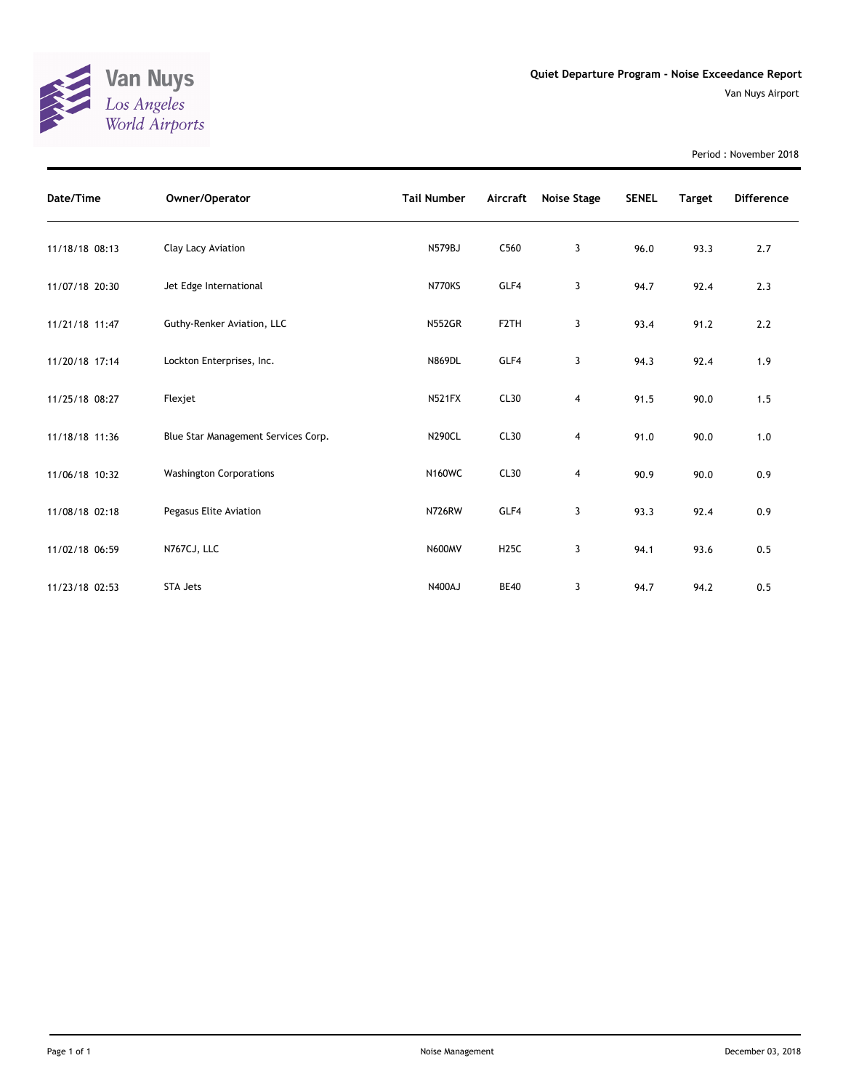

Period : November 2018

| Date/Time      | Owner/Operator                      | <b>Tail Number</b> | Aircraft          | Noise Stage | <b>SENEL</b> | <b>Target</b> | <b>Difference</b> |
|----------------|-------------------------------------|--------------------|-------------------|-------------|--------------|---------------|-------------------|
| 11/18/18 08:13 | Clay Lacy Aviation                  | N579BJ             | C560              | 3           | 96.0         | 93.3          | 2.7               |
| 11/07/18 20:30 | Jet Edge International              | N770KS             | GLF4              | 3           | 94.7         | 92.4          | 2.3               |
| 11/21/18 11:47 | Guthy-Renker Aviation, LLC          | <b>N552GR</b>      | F <sub>2</sub> TH | 3           | 93.4         | 91.2          | 2.2               |
| 11/20/18 17:14 | Lockton Enterprises, Inc.           | <b>N869DL</b>      | GLF4              | 3           | 94.3         | 92.4          | 1.9               |
| 11/25/18 08:27 | Flexjet                             | <b>N521FX</b>      | CL30              | 4           | 91.5         | 90.0          | 1.5               |
| 11/18/18 11:36 | Blue Star Management Services Corp. | <b>N290CL</b>      | CL30              | 4           | 91.0         | 90.0          | 1.0               |
| 11/06/18 10:32 | <b>Washington Corporations</b>      | <b>N160WC</b>      | CL30              | 4           | 90.9         | 90.0          | 0.9               |
| 11/08/18 02:18 | Pegasus Elite Aviation              | <b>N726RW</b>      | GLF4              | 3           | 93.3         | 92.4          | 0.9               |
| 11/02/18 06:59 | N767CJ, LLC                         | <b>N600MV</b>      | <b>H25C</b>       | 3           | 94.1         | 93.6          | 0.5               |
| 11/23/18 02:53 | STA Jets                            | <b>N400AJ</b>      | <b>BE40</b>       | 3           | 94.7         | 94.2          | 0.5               |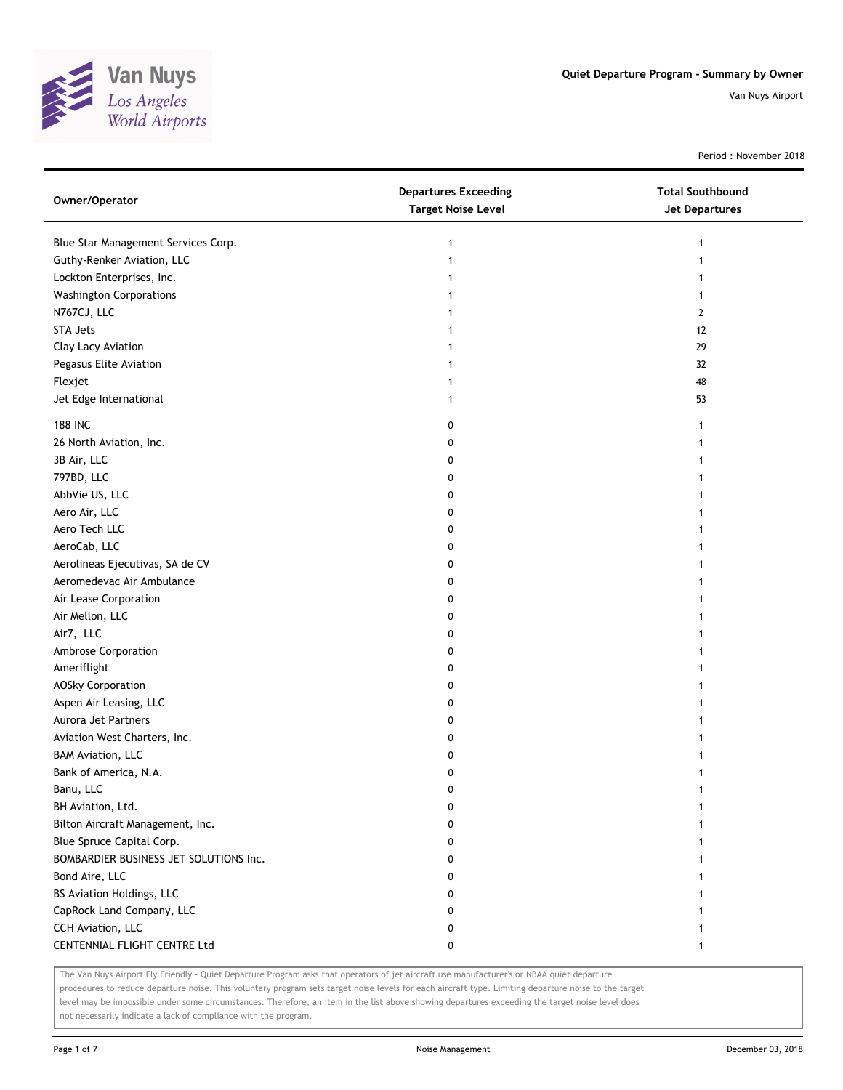

Period : November 2018

| Owner/Operator                         | <b>Departures Exceeding</b><br><b>Target Noise Level</b> | <b>Total Southbound</b><br><b>Jet Departures</b> |
|----------------------------------------|----------------------------------------------------------|--------------------------------------------------|
| Blue Star Management Services Corp.    | 1                                                        | 1                                                |
| Guthy-Renker Aviation, LLC             | 1                                                        |                                                  |
| Lockton Enterprises, Inc.              |                                                          |                                                  |
| <b>Washington Corporations</b>         |                                                          |                                                  |
| N767CJ, LLC                            |                                                          | 2                                                |
| <b>STA Jets</b>                        |                                                          | 12                                               |
| Clay Lacy Aviation                     |                                                          | 29                                               |
| Pegasus Elite Aviation                 |                                                          | 32                                               |
| Flexjet                                | 1                                                        | 48                                               |
| Jet Edge International                 | 1                                                        | 53                                               |
| <b>188 INC</b>                         | 0                                                        | $\mathbf{1}$                                     |
| 26 North Aviation, Inc.                | 0                                                        |                                                  |
| 3B Air, LLC                            | 0                                                        |                                                  |
| 797BD, LLC                             | 0                                                        |                                                  |
| AbbVie US, LLC                         | 0                                                        |                                                  |
| Aero Air, LLC                          | 0                                                        |                                                  |
| Aero Tech LLC                          | 0                                                        |                                                  |
| AeroCab, LLC                           | 0                                                        |                                                  |
| Aerolineas Ejecutivas, SA de CV        | 0                                                        |                                                  |
| Aeromedevac Air Ambulance              | 0                                                        |                                                  |
| Air Lease Corporation                  | 0                                                        |                                                  |
| Air Mellon, LLC                        | 0                                                        |                                                  |
| Air7, LLC                              | 0                                                        |                                                  |
| Ambrose Corporation                    | 0                                                        |                                                  |
| Ameriflight                            | 0                                                        |                                                  |
| <b>AOSky Corporation</b>               | 0                                                        |                                                  |
| Aspen Air Leasing, LLC                 | 0                                                        |                                                  |
| Aurora Jet Partners                    | 0                                                        |                                                  |
| Aviation West Charters, Inc.           | 0                                                        |                                                  |
| <b>BAM Aviation, LLC</b>               | 0                                                        |                                                  |
| Bank of America, N.A.                  | 0                                                        |                                                  |
| Banu, LLC                              | 0                                                        |                                                  |
| BH Aviation, Ltd.                      | 0                                                        | 1                                                |
| Bilton Aircraft Management, Inc.       | 0                                                        |                                                  |
| Blue Spruce Capital Corp.              | 0                                                        |                                                  |
| BOMBARDIER BUSINESS JET SOLUTIONS Inc. | 0                                                        |                                                  |
| Bond Aire, LLC                         | 0                                                        |                                                  |
| <b>BS Aviation Holdings, LLC</b>       | 0                                                        |                                                  |
| CapRock Land Company, LLC              | 0                                                        |                                                  |
| CCH Aviation, LLC                      | 0                                                        |                                                  |
| CENTENNIAL FLIGHT CENTRE Ltd           | 0                                                        |                                                  |

The Van Nuys Airport Fly Friendly - Quiet Departure Program asks that operators of jet aircraft use manufacturer's or NBAA quiet departure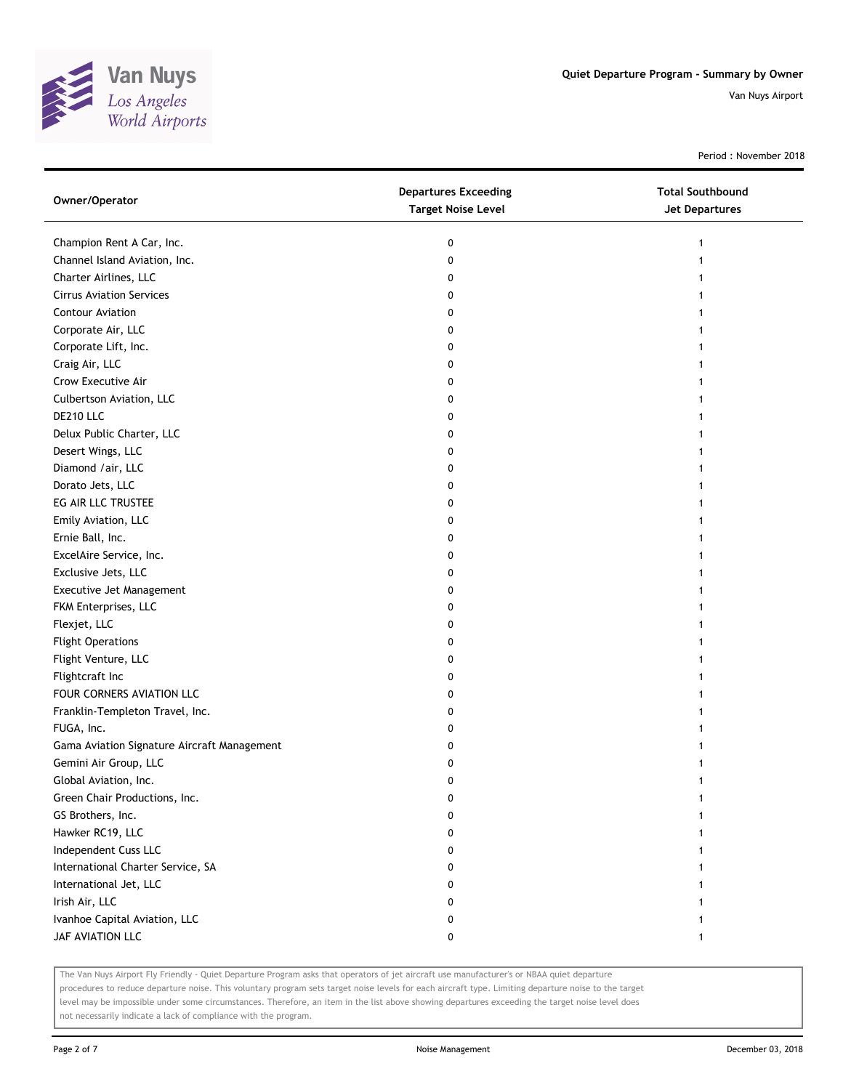

Period : November 2018

| Owner/Operator                              | <b>Departures Exceeding</b><br><b>Target Noise Level</b> | <b>Total Southbound</b><br>Jet Departures |
|---------------------------------------------|----------------------------------------------------------|-------------------------------------------|
| Champion Rent A Car, Inc.                   | 0                                                        | 1                                         |
| Channel Island Aviation, Inc.               | 0                                                        |                                           |
| Charter Airlines, LLC                       | 0                                                        |                                           |
| <b>Cirrus Aviation Services</b>             | 0                                                        |                                           |
| <b>Contour Aviation</b>                     | 0                                                        |                                           |
| Corporate Air, LLC                          | 0                                                        |                                           |
| Corporate Lift, Inc.                        | 0                                                        |                                           |
| Craig Air, LLC                              | 0                                                        |                                           |
| Crow Executive Air                          | 0                                                        |                                           |
| Culbertson Aviation, LLC                    | 0                                                        |                                           |
| DE210 LLC                                   | 0                                                        |                                           |
| Delux Public Charter, LLC                   | 0                                                        |                                           |
| Desert Wings, LLC                           | 0                                                        |                                           |
| Diamond /air, LLC                           | 0                                                        |                                           |
| Dorato Jets, LLC                            | 0                                                        |                                           |
| EG AIR LLC TRUSTEE                          | 0                                                        |                                           |
| Emily Aviation, LLC                         | 0                                                        |                                           |
| Ernie Ball, Inc.                            | 0                                                        |                                           |
| ExcelAire Service, Inc.                     | 0                                                        |                                           |
| Exclusive Jets, LLC                         | 0                                                        |                                           |
| Executive Jet Management                    | 0                                                        |                                           |
| FKM Enterprises, LLC                        | 0                                                        |                                           |
| Flexjet, LLC                                | 0                                                        |                                           |
| <b>Flight Operations</b>                    | 0                                                        |                                           |
| Flight Venture, LLC                         | 0                                                        |                                           |
| Flightcraft Inc                             | 0                                                        |                                           |
| FOUR CORNERS AVIATION LLC                   | 0                                                        |                                           |
| Franklin-Templeton Travel, Inc.             | 0                                                        |                                           |
| FUGA, Inc.                                  | 0                                                        |                                           |
| Gama Aviation Signature Aircraft Management | 0                                                        |                                           |
| Gemini Air Group, LLC                       | 0                                                        |                                           |
| Global Aviation, Inc.                       | 0                                                        |                                           |
| Green Chair Productions, Inc.               | 0                                                        |                                           |
| GS Brothers, Inc.                           | 0                                                        |                                           |
| Hawker RC19, LLC                            | 0                                                        |                                           |
| Independent Cuss LLC                        | 0                                                        |                                           |
| International Charter Service, SA           | 0                                                        |                                           |
| International Jet, LLC                      | 0                                                        |                                           |
| Irish Air, LLC                              | 0                                                        |                                           |
| Ivanhoe Capital Aviation, LLC               | 0                                                        |                                           |
| JAF AVIATION LLC                            | 0                                                        |                                           |

The Van Nuys Airport Fly Friendly - Quiet Departure Program asks that operators of jet aircraft use manufacturer's or NBAA quiet departure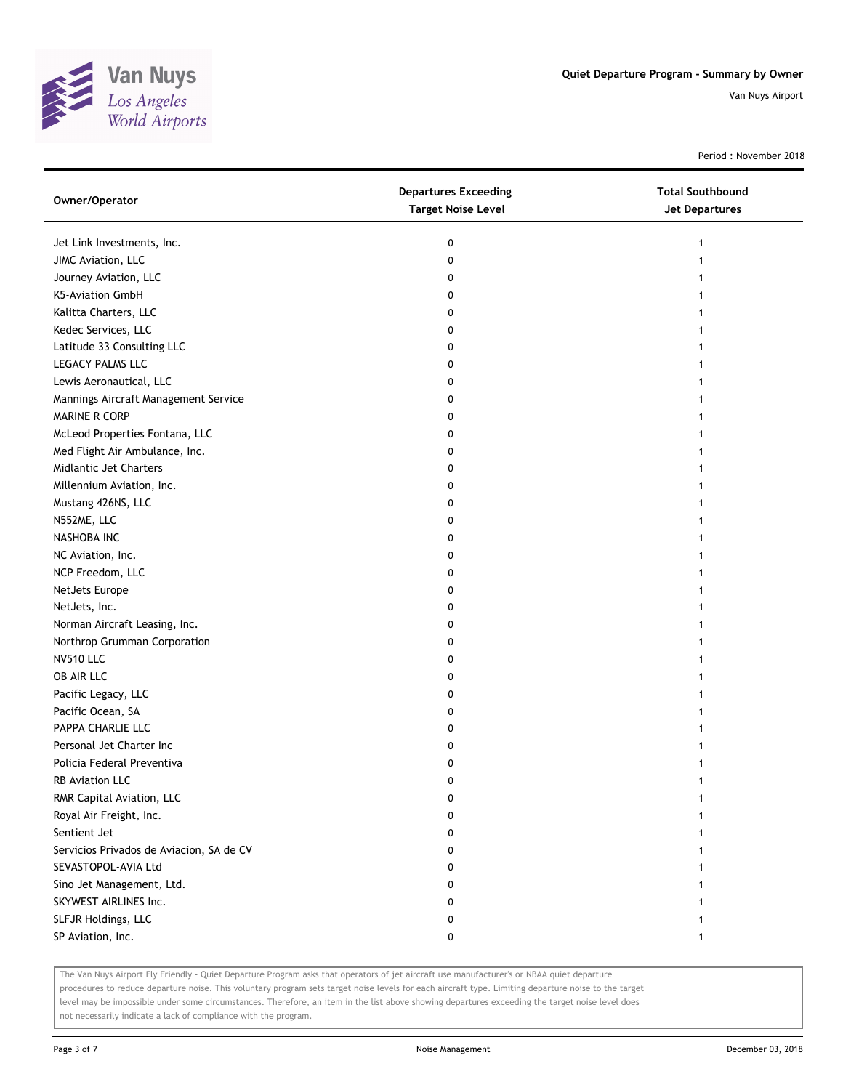

Period : November 2018

| Owner/Operator                           | <b>Departures Exceeding</b><br><b>Target Noise Level</b> | <b>Total Southbound</b><br>Jet Departures |
|------------------------------------------|----------------------------------------------------------|-------------------------------------------|
| Jet Link Investments, Inc.               | 0                                                        |                                           |
| JIMC Aviation, LLC                       | 0                                                        |                                           |
| Journey Aviation, LLC                    | 0                                                        |                                           |
| <b>K5-Aviation GmbH</b>                  | 0                                                        |                                           |
| Kalitta Charters, LLC                    | 0                                                        |                                           |
| Kedec Services, LLC                      | 0                                                        |                                           |
| Latitude 33 Consulting LLC               | 0                                                        |                                           |
| LEGACY PALMS LLC                         | 0                                                        |                                           |
| Lewis Aeronautical, LLC                  | 0                                                        |                                           |
| Mannings Aircraft Management Service     | 0                                                        |                                           |
| MARINE R CORP                            | 0                                                        |                                           |
| McLeod Properties Fontana, LLC           | 0                                                        |                                           |
| Med Flight Air Ambulance, Inc.           | 0                                                        |                                           |
| Midlantic Jet Charters                   | 0                                                        |                                           |
| Millennium Aviation, Inc.                | 0                                                        |                                           |
| Mustang 426NS, LLC                       | 0                                                        |                                           |
| N552ME, LLC                              | 0                                                        |                                           |
| NASHOBA INC                              | 0                                                        |                                           |
| NC Aviation, Inc.                        | 0                                                        |                                           |
| NCP Freedom, LLC                         | 0                                                        |                                           |
| NetJets Europe                           | 0                                                        |                                           |
| NetJets, Inc.                            | 0                                                        |                                           |
| Norman Aircraft Leasing, Inc.            | 0                                                        |                                           |
| Northrop Grumman Corporation             | 0                                                        |                                           |
| <b>NV510 LLC</b>                         | 0                                                        |                                           |
| OB AIR LLC                               | 0                                                        |                                           |
| Pacific Legacy, LLC                      | 0                                                        |                                           |
| Pacific Ocean, SA                        | 0                                                        |                                           |
| PAPPA CHARLIE LLC                        | 0                                                        |                                           |
| Personal Jet Charter Inc                 | 0                                                        |                                           |
| Policia Federal Preventiva               | 0                                                        |                                           |
| RB Aviation LLC                          | 0                                                        |                                           |
| RMR Capital Aviation, LLC                | 0                                                        |                                           |
| Royal Air Freight, Inc.                  | 0                                                        |                                           |
| Sentient Jet                             | 0                                                        |                                           |
| Servicios Privados de Aviacion, SA de CV | 0                                                        |                                           |
| SEVASTOPOL-AVIA Ltd                      | 0                                                        |                                           |
| Sino Jet Management, Ltd.                | 0                                                        |                                           |
| SKYWEST AIRLINES Inc.                    | 0                                                        |                                           |
| SLFJR Holdings, LLC                      | 0                                                        |                                           |
| SP Aviation, Inc.                        | 0                                                        | 1                                         |

The Van Nuys Airport Fly Friendly - Quiet Departure Program asks that operators of jet aircraft use manufacturer's or NBAA quiet departure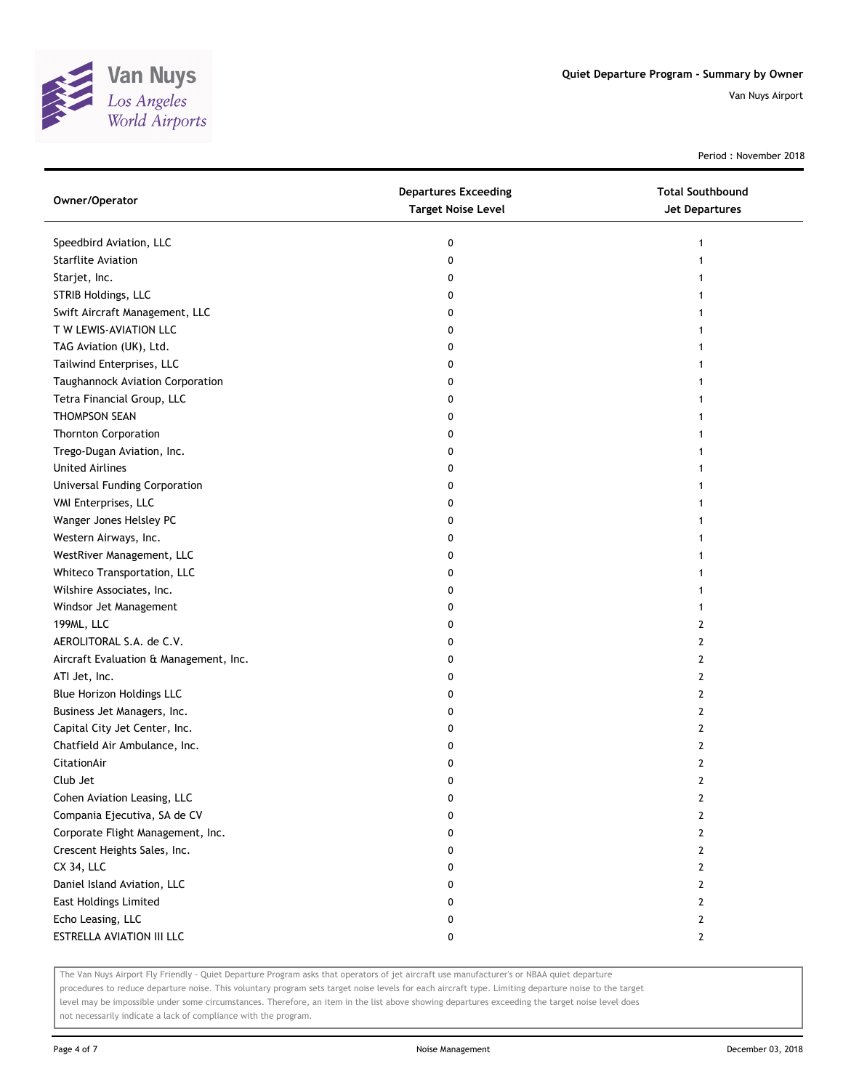

Period : November 2018

| Owner/Operator                         | <b>Departures Exceeding</b><br><b>Target Noise Level</b> | <b>Total Southbound</b><br>Jet Departures |
|----------------------------------------|----------------------------------------------------------|-------------------------------------------|
| Speedbird Aviation, LLC                | 0                                                        | 1                                         |
| <b>Starflite Aviation</b>              | 0                                                        |                                           |
| Starjet, Inc.                          | 0                                                        |                                           |
| STRIB Holdings, LLC                    | 0                                                        |                                           |
| Swift Aircraft Management, LLC         | 0                                                        |                                           |
| T W LEWIS-AVIATION LLC                 | 0                                                        |                                           |
| TAG Aviation (UK), Ltd.                | 0                                                        | 1                                         |
| Tailwind Enterprises, LLC              | 0                                                        |                                           |
| Taughannock Aviation Corporation       | 0                                                        |                                           |
| Tetra Financial Group, LLC             | 0                                                        |                                           |
| THOMPSON SEAN                          | 0                                                        |                                           |
| <b>Thornton Corporation</b>            | 0                                                        |                                           |
| Trego-Dugan Aviation, Inc.             | 0                                                        |                                           |
| <b>United Airlines</b>                 | 0                                                        |                                           |
| Universal Funding Corporation          | 0                                                        |                                           |
| VMI Enterprises, LLC                   | 0                                                        |                                           |
| Wanger Jones Helsley PC                | 0                                                        | 1                                         |
| Western Airways, Inc.                  | 0                                                        |                                           |
| WestRiver Management, LLC              | 0                                                        |                                           |
| Whiteco Transportation, LLC            | 0                                                        |                                           |
| Wilshire Associates, Inc.              | 0                                                        |                                           |
| Windsor Jet Management                 | 0                                                        |                                           |
| 199ML, LLC                             | 0                                                        | 2                                         |
| AEROLITORAL S.A. de C.V.               | 0                                                        | 2                                         |
| Aircraft Evaluation & Management, Inc. | 0                                                        | 2                                         |
| ATI Jet, Inc.                          | 0                                                        | 2                                         |
| <b>Blue Horizon Holdings LLC</b>       | 0                                                        | 2                                         |
| Business Jet Managers, Inc.            | 0                                                        | 2                                         |
| Capital City Jet Center, Inc.          | 0                                                        | 2                                         |
| Chatfield Air Ambulance, Inc.          | 0                                                        | 2                                         |
| CitationAir                            | 0                                                        | 2                                         |
| Club Jet                               | 0                                                        | 2                                         |
| Cohen Aviation Leasing, LLC            | 0                                                        | 2                                         |
| Compania Ejecutiva, SA de CV           | 0                                                        | 2                                         |
| Corporate Flight Management, Inc.      | 0                                                        | $\mathbf{2}$                              |
| Crescent Heights Sales, Inc.           | 0                                                        | 2                                         |
| CX 34, LLC                             | 0                                                        | $\mathbf{2}$                              |
| Daniel Island Aviation, LLC            | 0                                                        | 2                                         |
| <b>East Holdings Limited</b>           | 0                                                        | 2                                         |
| Echo Leasing, LLC                      | 0                                                        | $\mathbf{2}$                              |
| ESTRELLA AVIATION III LLC              | 0                                                        | $\mathbf{2}$                              |

The Van Nuys Airport Fly Friendly - Quiet Departure Program asks that operators of jet aircraft use manufacturer's or NBAA quiet departure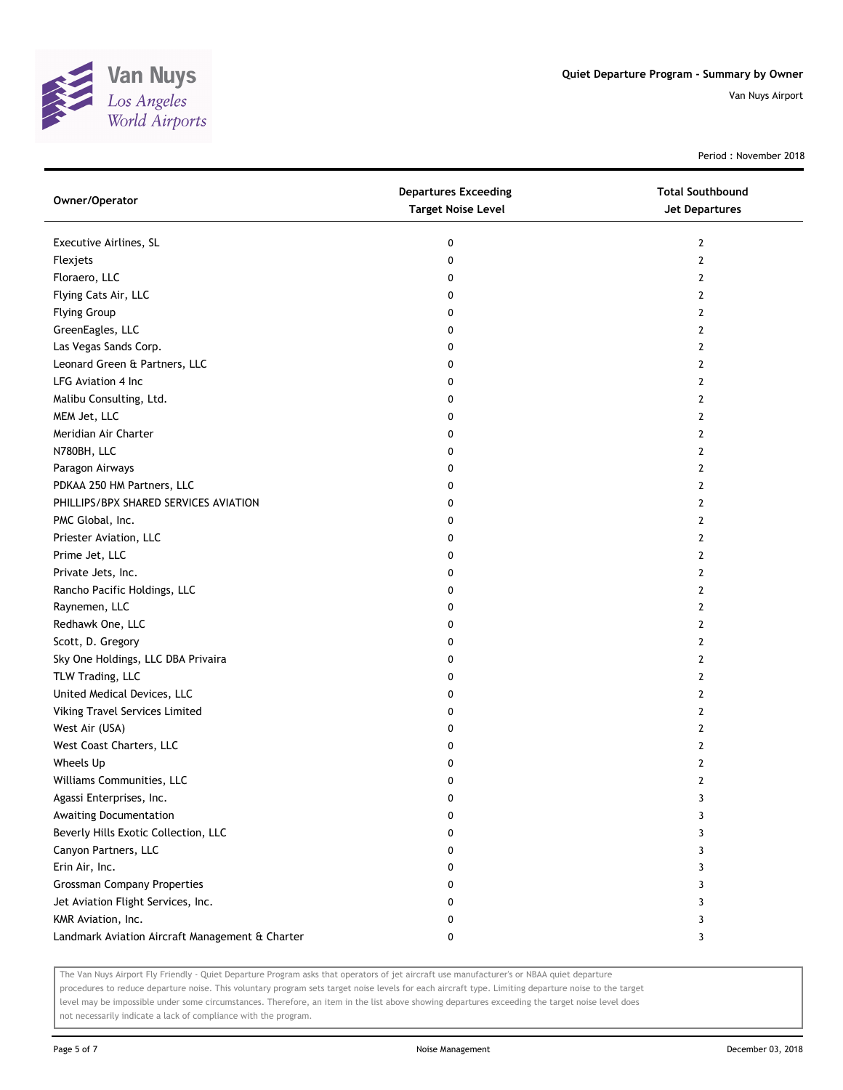

Period : November 2018

| Owner/Operator                                  | <b>Departures Exceeding</b><br><b>Target Noise Level</b> | <b>Total Southbound</b><br><b>Jet Departures</b> |
|-------------------------------------------------|----------------------------------------------------------|--------------------------------------------------|
| Executive Airlines, SL                          | 0                                                        | 2                                                |
| Flexjets                                        | 0                                                        | $\mathbf{2}$                                     |
| Floraero, LLC                                   | 0                                                        | 2                                                |
| Flying Cats Air, LLC                            | 0                                                        | 2                                                |
| <b>Flying Group</b>                             | 0                                                        | 2                                                |
| GreenEagles, LLC                                | 0                                                        | 2                                                |
| Las Vegas Sands Corp.                           | 0                                                        | 2                                                |
| Leonard Green & Partners, LLC                   | 0                                                        | 2                                                |
| LFG Aviation 4 Inc                              | 0                                                        | 2                                                |
| Malibu Consulting, Ltd.                         | 0                                                        | 2                                                |
| MEM Jet, LLC                                    | 0                                                        | 2                                                |
| Meridian Air Charter                            | 0                                                        | $\overline{2}$                                   |
| N780BH, LLC                                     | 0                                                        | $\overline{2}$                                   |
| Paragon Airways                                 | 0                                                        | $\overline{2}$                                   |
| PDKAA 250 HM Partners, LLC                      | 0                                                        | 2                                                |
| PHILLIPS/BPX SHARED SERVICES AVIATION           | 0                                                        | 2                                                |
| PMC Global, Inc.                                | 0                                                        | $\mathbf{2}$                                     |
| Priester Aviation, LLC                          | 0                                                        | 2                                                |
| Prime Jet, LLC                                  | 0                                                        | 2                                                |
| Private Jets, Inc.                              | 0                                                        | 2                                                |
| Rancho Pacific Holdings, LLC                    | 0                                                        | 2                                                |
| Raynemen, LLC                                   | 0                                                        | 2                                                |
| Redhawk One, LLC                                | 0                                                        | 2                                                |
| Scott, D. Gregory                               | 0                                                        | $\mathbf{2}$                                     |
| Sky One Holdings, LLC DBA Privaira              | 0                                                        | 2                                                |
| TLW Trading, LLC                                | 0                                                        | 2                                                |
| United Medical Devices, LLC                     | 0                                                        | $\mathbf{2}$                                     |
| Viking Travel Services Limited                  | 0                                                        | 2                                                |
| West Air (USA)                                  | 0                                                        | 2                                                |
| West Coast Charters, LLC                        | 0                                                        | 2                                                |
| Wheels Up                                       | 0                                                        | 2                                                |
| Williams Communities, LLC                       | 0                                                        | $\mathbf{2}$                                     |
| Agassi Enterprises, Inc.                        | U                                                        | 3                                                |
| Awaiting Documentation                          | 0                                                        | 3                                                |
| Beverly Hills Exotic Collection, LLC            | 0                                                        | 3                                                |
| Canyon Partners, LLC                            | 0                                                        | 3                                                |
| Erin Air, Inc.                                  | 0                                                        | 3                                                |
| <b>Grossman Company Properties</b>              | 0                                                        | 3                                                |
| Jet Aviation Flight Services, Inc.              | 0                                                        | 3                                                |
| KMR Aviation, Inc.                              | 0                                                        | 3                                                |
| Landmark Aviation Aircraft Management & Charter | 0                                                        | 3                                                |

The Van Nuys Airport Fly Friendly - Quiet Departure Program asks that operators of jet aircraft use manufacturer's or NBAA quiet departure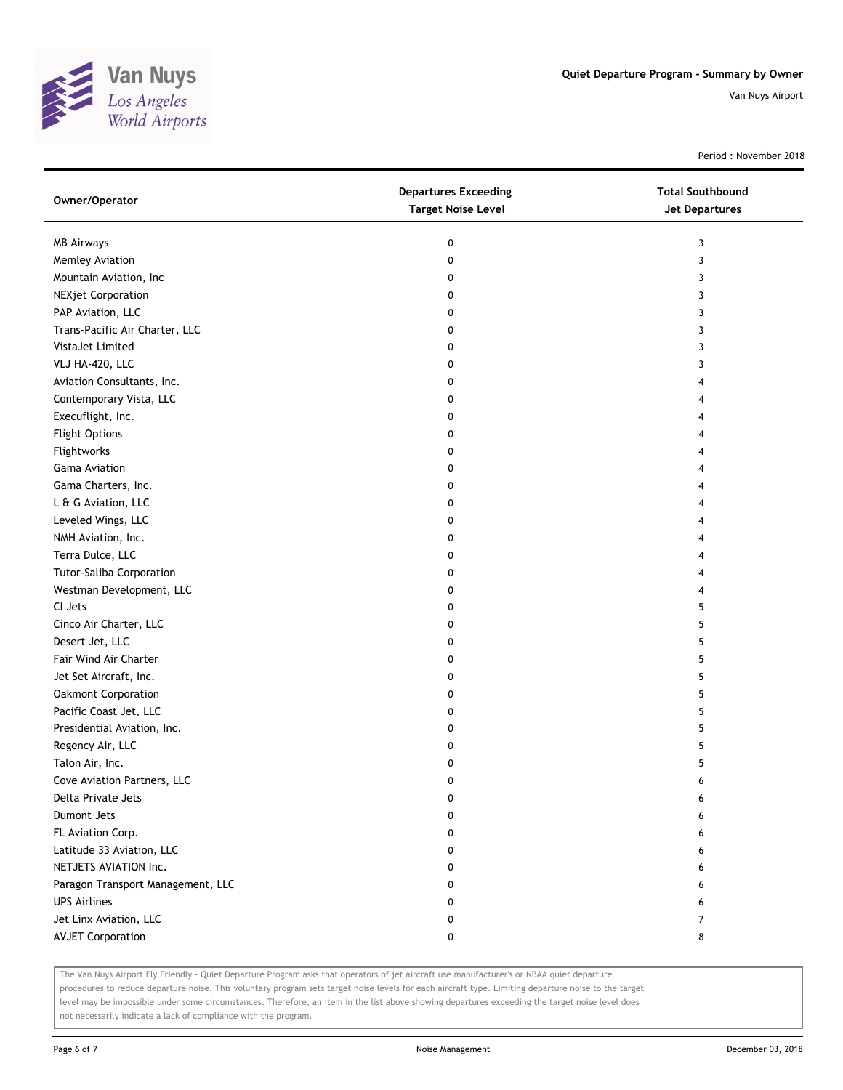

Period : November 2018

| Owner/Operator                    | <b>Departures Exceeding</b><br><b>Target Noise Level</b> | <b>Total Southbound</b><br><b>Jet Departures</b> |
|-----------------------------------|----------------------------------------------------------|--------------------------------------------------|
| <b>MB Airways</b>                 | 0                                                        | 3                                                |
| Memley Aviation                   | 0                                                        | 3                                                |
| Mountain Aviation, Inc            | 0                                                        | 3                                                |
| <b>NEXjet Corporation</b>         | 0                                                        | 3                                                |
| PAP Aviation, LLC                 | 0                                                        | 3                                                |
| Trans-Pacific Air Charter, LLC    | 0                                                        | 3                                                |
| VistaJet Limited                  | 0                                                        | 3                                                |
| VLJ HA-420, LLC                   | 0                                                        | 3                                                |
| Aviation Consultants, Inc.        | 0                                                        | 4                                                |
| Contemporary Vista, LLC           | 0                                                        | 4                                                |
| Execuflight, Inc.                 | 0                                                        | 4                                                |
| <b>Flight Options</b>             | 0                                                        | 4                                                |
| Flightworks                       | 0                                                        | 4                                                |
| <b>Gama Aviation</b>              | 0                                                        | 4                                                |
| Gama Charters, Inc.               | 0                                                        | 4                                                |
| L & G Aviation, LLC               | 0                                                        | 4                                                |
| Leveled Wings, LLC                | 0                                                        | 4                                                |
| NMH Aviation, Inc.                | 0                                                        | 4                                                |
| Terra Dulce, LLC                  | 0                                                        | 4                                                |
| <b>Tutor-Saliba Corporation</b>   | 0                                                        | 4                                                |
| Westman Development, LLC          | 0                                                        | 4                                                |
| CI Jets                           | 0                                                        | 5                                                |
| Cinco Air Charter, LLC            | 0                                                        | 5                                                |
| Desert Jet, LLC                   | 0                                                        | 5                                                |
| Fair Wind Air Charter             | 0                                                        | 5                                                |
| Jet Set Aircraft, Inc.            | 0                                                        | 5                                                |
| Oakmont Corporation               | 0                                                        | 5                                                |
| Pacific Coast Jet, LLC            | 0                                                        | 5                                                |
| Presidential Aviation, Inc.       | 0                                                        | 5                                                |
| Regency Air, LLC                  | 0                                                        | 5                                                |
| Talon Air, Inc.                   | 0                                                        | 5                                                |
| Cove Aviation Partners, LLC       | 0                                                        | 6                                                |
| Delta Private Jets                | 0                                                        | 6                                                |
| Dumont Jets                       | 0                                                        | 6                                                |
| FL Aviation Corp.                 | 0                                                        | 6                                                |
| Latitude 33 Aviation, LLC         | 0                                                        | 6                                                |
| NETJETS AVIATION Inc.             | 0                                                        | 6                                                |
| Paragon Transport Management, LLC | 0                                                        | 6                                                |
| <b>UPS Airlines</b>               | 0                                                        | 6                                                |
| Jet Linx Aviation, LLC            | 0                                                        | $\overline{7}$                                   |
| <b>AVJET Corporation</b>          | 0                                                        | 8                                                |

The Van Nuys Airport Fly Friendly - Quiet Departure Program asks that operators of jet aircraft use manufacturer's or NBAA quiet departure